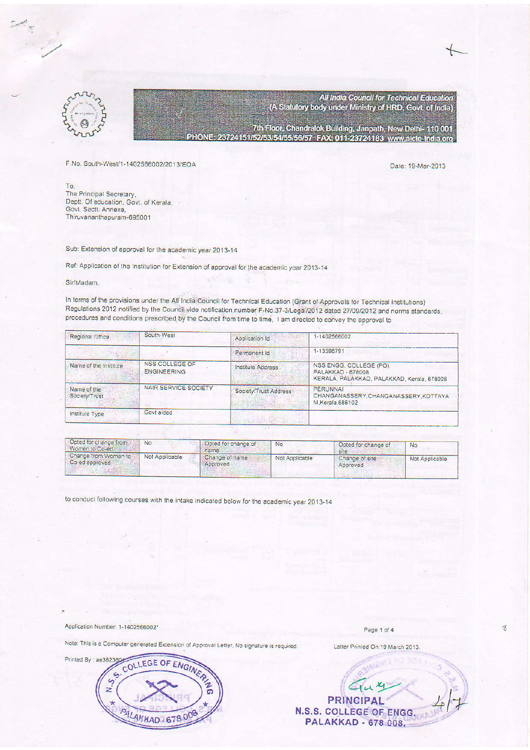

All India Council for Technical Education (A Statutory body under Ministry of HRD, Govt. of India)

7th Floor, Chandralok Building, Janpath, New Delhi- 110 001 PHONE: 23724151/52/53/54/55/56/57 FAX: 011-23724183 www.aicte-India.org

F.No. South-West/1-1402566002/2013/EOA

Date: 19-Mar-2013

To, The Principal Secretary, Deptt. Of education, Govt. of Kerala, Govt. Sectt. Annexe, Thiruvananthapuram-695001

Sub: Extension of approval for the academic year 2013-14

Ref: Application of the Institution for Extension of approval for the academic year 2013-14

Sir/Madam,

In terms of the provisions under the All India Council for Technical Education (Grant of Approvals for Technical Institutions) Regulations 2012 notified by the Council vide notification number F-No.37-3/Legal/2012 dated 27/09/2012 and norms standards, procedures and conditions prescribed by the Council from time to time, I am directed to convey the approval to

| Regional Office              | South-West                                  | Application Id        | 1-1402566002                                                                                      |  |  |  |
|------------------------------|---------------------------------------------|-----------------------|---------------------------------------------------------------------------------------------------|--|--|--|
|                              |                                             | Permanent Id          | 1-13598791                                                                                        |  |  |  |
| Name of the Institute        | <b>NSS COLLEGE OF</b><br><b>ENGINEERING</b> | Institute Address     | NSS ENGG. COLLEGE (PO).<br><b>PALAKKAD - 678008</b><br>KERALA, PALAKKAD, PALAKKAD, Kerala, 678008 |  |  |  |
| Name of the<br>Society/Trust | NAIR SERVICE SOCIETY                        | Society/Trust Address | <b>PERUNNAI</b><br>CHANGANASSERY CHANGANASSERY KOTTAYA<br>M.Kerala.686102                         |  |  |  |
| Institute Type               | Govt aided                                  |                       |                                                                                                   |  |  |  |

| Opted for change from<br>Women to Co-ed | No.            | Opted for change of<br>iname. | No             | Opted for change of<br>site | No             |
|-----------------------------------------|----------------|-------------------------------|----------------|-----------------------------|----------------|
| Change from Women to<br>Co-ed approved  | Not Applicable | Change of name<br>Approved    | Not Applicable | Change of site<br>Approved  | Not Applicable |

to conduct following courses with the intake indicated below for the academic year 2013-14

Application Number: 1-1402566002\*

Note: This is a Computer generated Extension of Approval Letter. No signature is required.



Page 1 of 4

 $\gamma$ 

Letter Printed On:19 March 2013.

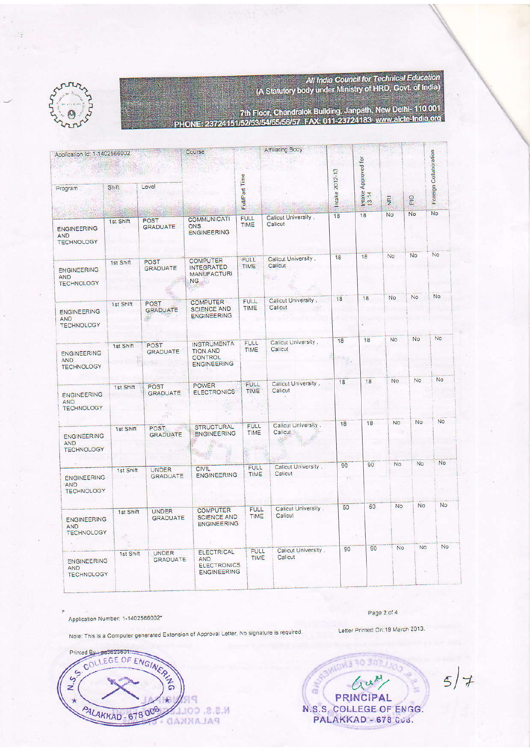All India Council for Technical Education<br>(A Statutory body under Ministry of HRD, Govt. of India)





7th Floor, Chandralok Building, Janpath, New Delhl- 110 001<br>NE: 23724151/52/53/54/55/56/57 FAX: 011-23724183 www.aicte-India.org PHO

≪r

| Application Id: 1-1402566002                          |           |                                           | Course                                                                        |                                        | <b>Companies</b> And A                          |                |                              |                |           |                       |
|-------------------------------------------------------|-----------|-------------------------------------------|-------------------------------------------------------------------------------|----------------------------------------|-------------------------------------------------|----------------|------------------------------|----------------|-----------|-----------------------|
| Program                                               | Shift     | Level                                     |                                                                               | Full/Part Time                         |                                                 | Intake 2012-13 | Intake Approved for<br>13-14 | $\overline{g}$ | PIO       | Foreign Collaboration |
| <b>ENGINEERING</b><br><b>AND</b><br><b>TECHNOLOGY</b> | 1st Shift | <b>POST</b><br><b>GRADUATE</b>            | <b>COMMUNICATI</b><br><b>ONS</b><br><b>ENGINEERING</b>                        | <b>FULL</b><br>TIME                    | Calicut University,<br>Calicut                  | 18             | 18                           | No             | No        | No                    |
| <b>ENGINEERING</b><br><b>AND</b><br><b>TECHNOLOGY</b> | 1st Shift | <b>POST</b><br><b>GRADUATE</b>            | <b>COMPUTER</b><br><b>INTEGRATED</b><br><b>MANUFACTURI</b><br>NG              | FULL<br>TIME                           | Calicut University.<br><b>Calicut</b><br>til at | 18             | 18                           | No.            | No        | No                    |
| <b>ENGINEERING</b><br><b>AND</b><br><b>TECHNOLOGY</b> | 1st Shift | POST<br><b>GRADUATE</b><br>$\mathbb{R}^n$ | <b>COMPUTER</b><br><b>SCIENCE AND</b><br><b>ENGINEERING</b>                   | FULL.<br><b>TIME</b>                   | Calicut University,<br>Calicut                  | 18             | 18                           | No.            | <b>No</b> | <b>No</b>             |
| <b>ENGINEERING</b><br><b>AND</b><br><b>TECHNOLOGY</b> | 1st Shift | POST<br><b>GRADUATE</b>                   | <b>INSTRUMENTA</b><br><b>TION AND</b><br><b>CONTROL</b><br><b>ENGINEERING</b> | <b>FULL</b><br>TIME                    | Calicut University,<br>Calicut                  | 18             | 18                           | <b>No</b>      | <b>No</b> | <b>No</b>             |
| <b>ENGINEERING</b><br><b>AND</b><br><b>TECHNOLOGY</b> | 1st Shift | POST<br><b>GRADUATE</b>                   | <b>POWER</b><br><b>ELECTRONICS</b>                                            | <b>FULL</b><br>TIME                    | Calicut University,<br>Calicut                  | 18             | 18                           | No             | <b>No</b> | No.                   |
| <b>ENGINEERING</b><br><b>AND</b><br><b>TECHNOLOGY</b> | 1st Shift | <b>POST</b><br><b>GRADUATE</b>            | <b>STRUCTURAL</b><br><b>ENGINEERING</b>                                       | <b>FULL</b><br>TIME<br><b>Birthday</b> | Calicut University,<br>Calicut                  | 18             | 18                           | No             | <b>No</b> | <b>No</b>             |
| <b>ENGINEERING</b><br>AND.<br><b>TECHNOLOGY</b>       | 1st Shift | <b>UNDER</b><br><b>GRADUATE</b>           | CIVIL<br><b>ENGINEERING</b>                                                   | <b>FULL</b><br>TIME                    | Calicut University.<br>Calicut                  | 90             | 90                           | <b>No</b>      | <b>No</b> | No                    |
| <b>ENGINEERING</b><br><b>AND</b><br><b>TECHNOLOGY</b> | 1st Shift | <b>UNDER</b><br><b>GRADUATE</b>           | <b>COMPUTER</b><br><b>SCIENCE AND</b><br><b>ENGINEERING</b>                   | <b>FULL</b><br>TIME                    | Calicut University,<br>Calicut                  | 60             | 60                           | <b>No</b>      | <b>No</b> | <b>No</b>             |
| <b>ENGINEERING</b><br><b>AND</b><br><b>TECHNOLOGY</b> | 1st Shift | <b>UNDER</b><br><b>GRADUATE</b>           | <b>ELECTRICAL</b><br>AND.<br><b>ELECTRONICS</b><br><b>ENGINEERING</b>         | <b>FULL</b><br>TIME                    | Calicut University,<br>Calicut                  | 90             | 90                           | No             | No        | No                    |

Application Number: 1-1402566002\*

Page 2 of 4

Letter Printed On:19 March 2013. Note: This is a Computer generated Extension of Approval Letter, No signature is required.





 $5/7$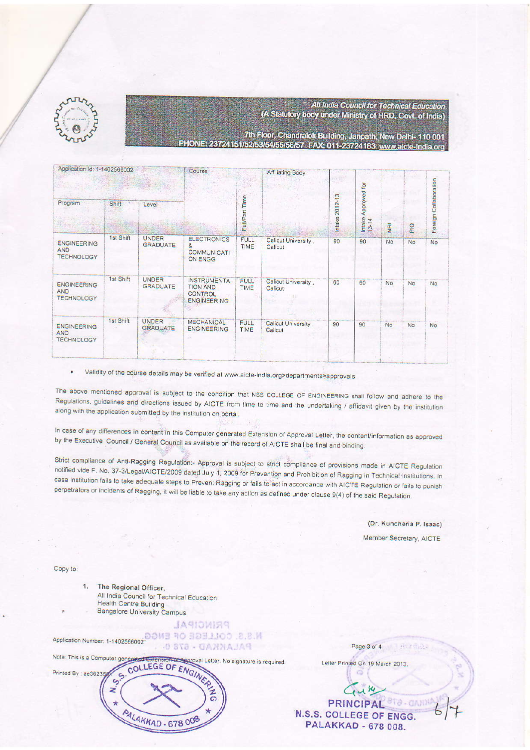

## All India Council for Technical Education (A Statutory body under Ministry of HRD, Govt. of India)

7th Floor, Chandralok Building, Janpath, New Delhi-110 001 ONE: 23724151/52/53/54/55/56/57 FAX: 011-23724183 www.aicte-India.org

| Application Id: 1-1402566002                          |              | Course                          | Affiliating Body                                                       |                      |                                |                          |                        |               |     |                       |
|-------------------------------------------------------|--------------|---------------------------------|------------------------------------------------------------------------|----------------------|--------------------------------|--------------------------|------------------------|---------------|-----|-----------------------|
| Program                                               | <b>Shift</b> | Level                           |                                                                        | <b>FullPart Time</b> |                                | 2012-13<br><b>Intake</b> | Approved for<br>Intake | $\frac{a}{2}$ | PIO | Foreign Collaboration |
| <b>ENGINEERING</b><br>AND<br><b>TECHNOLOGY</b>        | 1st Shift    | <b>UNDER</b><br><b>GRADUATE</b> | <b>ELECTRONICS</b><br>8<br><b>COMMUNICATI</b><br>ON ENGG               | <b>FULL</b><br>TIME  | Calicut University,<br>Calicut | 90                       | 90                     | <b>No</b>     | No. | <b>No</b>             |
| <b>ENGINEERING</b><br><b>AND</b><br><b>TECHNOLOGY</b> | 1st Shift    | <b>UNDER</b><br><b>GRADUATE</b> | <b>INSTRUMENTA</b><br><b>TION AND</b><br>CONTROL<br><b>ENGINEERING</b> | <b>FULL</b><br>TIME  | Calicut University,<br>Calicut | 60                       | 60                     | <b>No</b>     | No. | No                    |
| <b>ENGINEERING</b><br><b>AND</b><br><b>TECHNOLOGY</b> | 1st Shift    | <b>UNDER</b><br><b>GRADUATE</b> | <b>MECHANICAL</b><br><b>ENGINEERING</b><br>ă.                          | <b>FULL</b><br>TIME  | Calicut University<br>Calicut  | 90                       | 90                     | No.           | No. | No                    |

Validity of the course details may be verified at www.aicte-india.org>departments>approvals  $\bullet$ 

The above mentioned approval is subject to the condition that NSS COLLEGE OF ENGINEERING shall follow and adhere to the Regulations, guidelines and directions issued by AICTE from time to time and the undertaking / affidavit given by the institution along with the application submitted by the institution on portal.

In case of any differences in content in this Computer generated Extension of Approval Letter, the content/information as approved by the Executive Council / General Council as available on the record of AICTE shall be final and binding.

Strict compliance of Anti-Ragging Regulation:- Approval is subject to strict compliance of provisions made in AICTE Regulation notified vide F. No. 37-3/Legal/AICTE/2009 dated July 1, 2009 for Prevention and Prohibition of Ragging in Technical Institutions. In case Institution fails to take adequate steps to Prevent Ragging or fails to act in accordance with AICTE Regulation or fails to punish perpetrators or incidents of Ragging, it will be liable to take any action as defined under clause 9(4) of the said Regulation.

(Dr. Kuncheria P. Isaac)

Member Secretary, AICTE

Copy to:

1. The Regional Officer, All India Council for Technical Education Health Centre Building **Bangalore University Campus** 

Application Number: 1-1402566002-<br>
2.8.M PALAKAD - 678 6

**JASIONISS** 



Letter Printed On:19 March 2013.

Page 3 of 4

 $u$  K PRINCIPAL 813-GAND N.S.S. COLLEGE OF ENGG. **PALAKKAD - 678 008.**